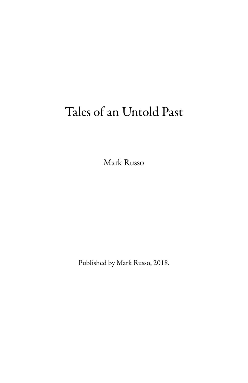# Tales of an Untold Past

Mark Russo

Published by Mark Russo, 2018.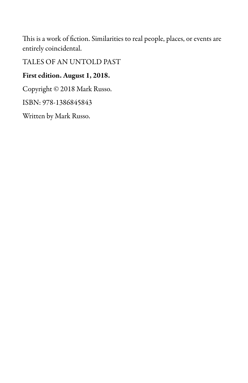This is a work of fiction. Similarities to real people, places, or events are entirely coincidental.

TALES OF AN UNTOLD PAST

### First edition. August 1, 2018.

Copyright © 2018 Mark Russo.

ISBN: 978-1386845843

Written by Mark Russo.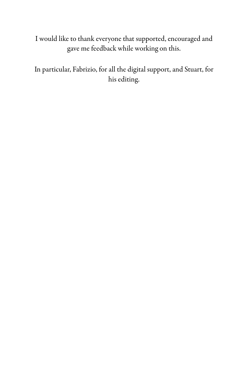I would like to thank everyone that supported, encouraged and gave me feedback while working on this.

In particular, Fabrizio, for all the digital support, and Stuart, for his editing.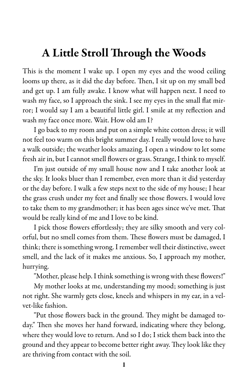### A Little Stroll Through the Woods

This is the moment I wake up. I open my eyes and the wood ceiling looms up there, as it did the day before. Then, I sit up on my small bed and get up. I am fully awake. I know what will happen next. I need to wash my face, so I approach the sink. I see my eyes in the small flat mirror; I would say I am a beautiful little girl. I smile at my reflection and wash my face once more. Wait. How old am I?

I go back to my room and put on a simple white cotton dress; it will not feel too warm on this bright summer day. I really would love to have a walk outside; the weather looks amazing. I open a window to let some fresh air in, but I cannot smell flowers or grass. Strange, I think to myself.

I'm just outside of my small house now and I take another look at the sky. It looks bluer than I remember, even more than it did yesterday or the day before. I walk a few steps next to the side of my house; I hear the grass crush under my feet and finally see those flowers. I would love to take them to my grandmother; it has been ages since we've met. That would be really kind of me and I love to be kind.

I pick those flowers effortlessly; they are silky smooth and very colorful, but no smell comes from them. These flowers must be damaged, I think; there is something wrong. I remember well their distinctive, sweet smell, and the lack of it makes me anxious. So, I approach my mother, hurrying.

"Mother, please help. I think something is wrong with these flowers!"

My mother looks at me, understanding my mood; something is just not right. She warmly gets close, kneels and whispers in my ear, in a velvet-like fashion.

"Put those flowers back in the ground. They might be damaged today." Then she moves her hand forward, indicating where they belong, where they would love to return. And so I do; I stick them back into the ground and they appear to become better right away. They look like they are thriving from contact with the soil.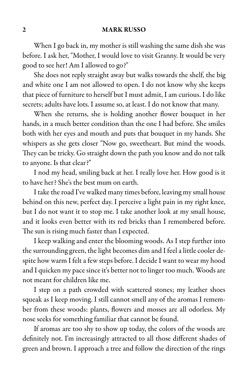When I go back in, my mother is still washing the same dish she was before. I ask her, "Mother, I would love to visit Granny. It would be very good to see her! Am I allowed to go?"

She does not reply straight away but walks towards the shelf, the big and white one I am not allowed to open. I do not know why she keeps that piece of furniture to herself but I mustadmit, Iam curious. I do like secrets; adults have lots. I assume so, at least. I do not know that many.

When she returns, she is holding another flower bouquet in her hands, in a much better condition than the one I had before. She smiles both with her eyes and mouth and puts that bouquet in my hands. She whispers as she gets closer "Now go, sweetheart. But mind the woods. They can be tricky. Go straight down the path you know and do not talk to anyone. Is that clear?"

I nod my head, smiling back at her. I really love her. How good is it to have her? She's the best mum on earth.

I take the road I've walked many times before, leaving my small house behind on this new, perfect day. I perceive a light pain in my right knee, but I do not want it to stop me. I take another look at my small house, and it looks even better with its red bricks than I remembered before. The sun is rising much faster than I expected.

I keep walking and enter the blooming woods. As I step further into the surrounding green, the light becomes dim and I feel a little cooler despite how warm I felt a few steps before. I decide I want to wear my hood and I quicken my pace since it's better not to linger too much. Woods are not meant for children like me.

I step on a path crowded with scattered stones; my leather shoes squeak as I keep moving. I still cannot smell any of the aromas I remember from these woods: plants, flowers and mosses are all odorless. My nose seeks for something familiar that cannot be found.

If aromas are too shy to show up today, the colors of the woods are definitely not. I'm increasingly attracted to all those different shades of green and brown. I approach a tree and follow the direction of the rings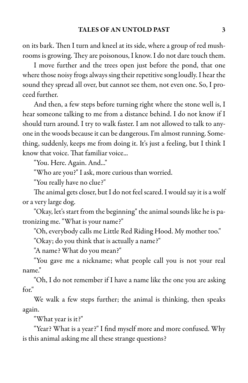on its bark. Then I turn and kneel at its side, where a group of red mushrooms is growing. They are poisonous, I know. I do not dare touch them.

I move further and the trees open just before the pond, that one where those noisy frogs always sing their repetitive song loudly. I hear the sound they spread all over, but cannot see them, not even one. So, I proceed further.

And then, a few steps before turning right where the stone well is, I hear someone talking to me from a distance behind. I do not know if I should turn around. I try to walk faster. I am not allowed to talk to anyone in the woods because it can be dangerous. I'm almost running. Something, suddenly, keeps me from doing it. It's just a feeling, but I think I know that voice. That familiar voice...

"You. Here. Again. And..."

"Who are you?" I ask, more curious than worried.

"You really have no clue?"

The animal gets closer, but I do not feel scared. I would say it is a wolf or a very large dog.

"Okay, let's start from the beginning" the animal sounds like he is patronizing me. "What is your name?"

"Oh, everybody calls me Little Red Riding Hood. My mother too."

"Okay; do you think that is actually a name?"

"A name? What do you mean?"

"You gave me a nickname; what people call you is not your real name."

"Oh, I do not remember if I have a name like the one you are asking for."

We walk a few steps further; the animal is thinking, then speaks again.

"What year is it?"

"Year? What is a year?" I find myself more and more confused. Why is this animal asking me all these strange questions?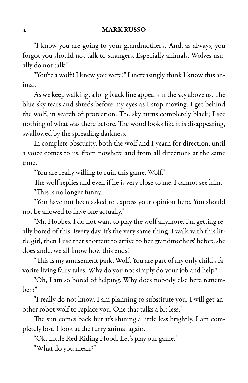"I know you are going to your grandmother's. And, as always, you forgot you should not talk to strangers. Especially animals. Wolves usually do not talk."

"You're a wolf! I knew you were!" I increasingly think I know this animal.

As we keep walking, a long black line appears in the sky above us. The blue sky tears and shreds before my eyes as I stop moving. I get behind the wolf, in search of protection. The sky turns completely black; I see nothing of what was there before. The wood looks like it is disappearing, swallowed by the spreading darkness.

In complete obscurity, both the wolf and I yearn for direction, until a voice comes to us, from nowhere and from all directions at the same time.

"You are really willing to ruin this game, Wolf."

The wolf replies and even if he is very close to me, I cannot see him. "This is no longer funny."

"You have not been asked to express your opinion here. You should not be allowed to have one actually."

"Mr. Hobbes. I do not want to play the wolf anymore. I'm getting really bored of this. Every day, it's the very same thing. I walk with this little girl, then I use that shortcut to arrive to her grandmothers' before she does and... we all know how this ends."

"This is my amusement park, Wolf. You are part of my only child's favorite living fairy tales. Why do you not simply do your job and help?"

"Oh, I am so bored of helping. Why does nobody else here remember?"

"I really do not know. I am planning to substitute you. I will get another robot wolf to replace you. One that talks a bit less."

The sun comes back but it's shining a little less brightly. I am completely lost. I look at the furry animal again.

"Ok, Little Red Riding Hood. Let's play our game."

"What do you mean?"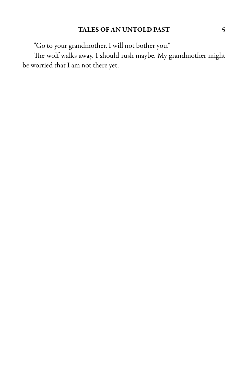"Go to your grandmother. I will not bother you."

The wolf walks away. I should rush maybe. My grandmother might be worried that I am not there yet.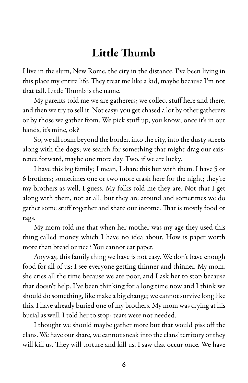### Little Thumb

I live in the slum, New Rome, the city in the distance. I've been living in this place my entire life. They treat me like a kid, maybe because I'm not that tall. Little Thumb is the name.

My parents told me we are gatherers; we collect stuff here and there, and then we try to sell it. Not easy; you get chased a lot by other gatherers or by those we gather from. We pick stuff up, you know; once it's in our hands, it's mine, ok?

So, we all roam beyond the border, into the city, into the dusty streets along with the dogs; we search for something that might drag our existence forward, maybe one more day. Two, if we are lucky.

I have this big family; I mean, I share this hut with them. I have 5 or 6 brothers; sometimes one or two more crash here for the night; they're my brothers as well, I guess. My folks told me they are. Not that I get along with them, not at all; but they are around and sometimes we do gather some stuff together and share our income. That is mostly food or rags.

My mom told me that when her mother was my age they used this thing called money which I have no idea about. How is paper worth more than bread or rice? You cannot eat paper.

Anyway, this family thing we have is not easy. We don't have enough food for all of us; I see everyone getting thinner and thinner. My mom, she cries all the time because we are poor, and I ask her to stop because that doesn't help. I've been thinking for a long time now and I think we should do something, like make a big change; we cannot survive long like this. I have already buried one of my brothers. My mom was crying at his burial as well. I told her to stop; tears were not needed.

I thought we should maybe gather more but that would piss off the clans. We have our share, wecannot sneak into theclans' territory or they will kill us. They will torture and kill us. I saw that occur once. We have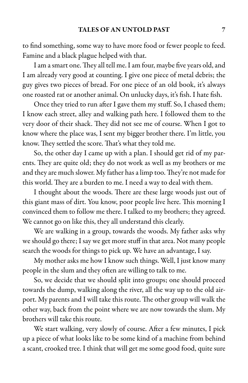to find something, some way to have more food or fewer people to feed. Famine and a black plague helped with that.

I am a smart one. They all tell me. I am four, maybe five years old, and I am already very good at counting. I give one piece of metal debris; the guy gives two pieces of bread. For one piece of an old book, it's always one roasted rat or another animal. On unlucky days, it's fish. I hate fish.

Once they tried to run after I gave them my stuff. So, I chased them; I know each street, alley and walking path here. I followed them to the very door of their shack. They did not see me of course. When I got to know where the place was, I sent my bigger brother there. I'm little, you know. They settled the score. That's what they told me.

So, the other day I came up with a plan. I should get rid of my parents. They are quite old; they do not work as well as my brothers or me and they are much slower. My father has a limp too. They're not made for this world. They are a burden to me. I need a way to deal with them.

I thought about the woods. There are these large woods just out of this giant mass of dirt. You know, poor people live here. This morning I convinced them to follow me there. I talked to my brothers; they agreed. We cannot go on like this, they all understand this clearly.

We are walking in a group, towards the woods. My father asks why we should go there; I say we get more stuff in that area. Not many people search the woods for things to pick up. We have an advantage, I say.

My mother asks me how I know such things. Well, I just know many people in the slum and they often are willing to talk to me.

So, we decide that we should split into groups; one should proceed towards the dump, walking along the river, all the way up to the old airport. My parents and I will take this route. The other group will walk the other way, back from the point where we are now towards the slum. My brothers will take this route.

We start walking, very slowly of course. After a few minutes, I pick up a piece of what looks like to be some kind of a machine from behind a scant, crooked tree. I think that will get me some good food, quite sure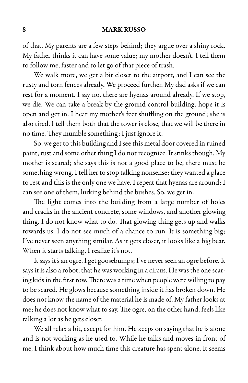of that. My parents are a few steps behind; they argue over a shiny rock. My father thinks it can have some value; my mother doesn't. I tell them to follow me, faster and to let go of that piece of trash.

We walk more, we get a bit closer to the airport, and I can see the rusty and torn fences already. We proceed further. My dad asks if we can rest for a moment. I say no, there are hyenas around already. If we stop, we die. We can take a break by the ground control building, hope it is open and get in. I hear my mother's feet shuffling on the ground; she is also tired. I tell them both that the tower is close, that we will be there in no time. They mumble something; I just ignore it.

So, we get to this building and I see this metal door covered in ruined paint, rust and some other thing I do not recognize. It stinks though. My mother is scared; she says this is not a good place to be, there must be something wrong. I tell her to stop talking nonsense; they wanted a place to rest and this is the only one we have. I repeat that hyenas are around; I can see one of them, lurking behind the bushes. So, we get in.

The light comes into the building from a large number of holes and cracks in the ancient concrete, some windows, and another glowing thing. I do not know what to do. That glowing thing gets up and walks towards us. I do not see much of a chance to run. It is something big; I've never seen anything similar. As it gets closer, it looks like a big bear. When it starts talking, I realize it's not.

It says it's an ogre. I get goosebumps; I've never seen an ogre before. It says it is also a robot, that he was working in a circus. He was the one scaring kids in the first row. There was a time when people were willing to pay to be scared. He glows because something inside it has broken down. He does not know the name of the material he is made of. My father looks at me; he does not know what to say. The ogre, on the other hand, feels like talking a lot as he gets closer.

We all relax a bit, except for him. He keeps on saying that he is alone and is not working as he used to. While he talks and moves in front of me, I think about how much time this creature has spent alone. It seems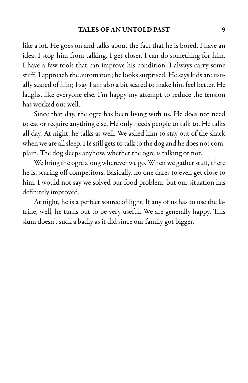like a lot. He goes on and talks about the fact that he is bored. I have an idea. I stop him from talking. I get closer, I can do something for him. I have a few tools that can improve his condition. I always carry some stuff. I approach the automaton; he looks surprised. He says kids are usually scared of him; I say I am also a bit scared to make him feel better. He laughs, like everyone else. I'm happy my attempt to reduce the tension has worked out well.

Since that day, the ogre has been living with us. He does not need to eat or require anything else. He only needs people to talk to. He talks all day. At night, he talks as well. We asked him to stay out of the shack when we are all sleep. He still gets to talk to the dog and he does not complain. The dog sleeps anyhow, whether the ogre is talking or not.

We bring the ogre along wherever we go. When we gather stuff, there he is, scaring off competitors. Basically, no one dares to even get close to him. I would not say we solved our food problem, but our situation has definitely improved.

At night, he is a perfect source of light. If any of us has to use the latrine, well, he turns out to be very useful. We are generally happy. This slum doesn't suck a badly as it did since our family got bigger.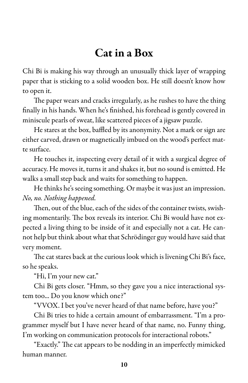### Cat in a Box

Chi Bi is making his way through an unusually thick layer of wrapping paper that is sticking to a solid wooden box. He still doesn't know how to open it.

The paper wears and cracks irregularly, as he rushes to have the thing finally in his hands. When he's finished, his forehead is gently covered in miniscule pearls of sweat, like scattered pieces of a jigsaw puzzle.

He stares at the box, baffled by its anonymity. Not a mark or sign are either carved, drawn or magnetically imbued on the wood's perfect matte surface.

He touches it, inspecting every detail of it with a surgical degree of accuracy. He moves it, turns it and shakes it, but no sound is emitted. He walks a small step back and waits for something to happen.

He thinks he's seeing something. Or maybe it was just an impression. No, no. Nothing happened.

Then, out of the blue, each of the sides of the container twists, swishing momentarily. The box reveals its interior. Chi Bi would have not expected a living thing to be inside of it and especially not a cat. He cannot help but think about what that Schrödinger guy would have said that very moment.

The cat stares back at the curious look which is livening Chi Bi's face, so he speaks.

"Hi, I'm your new cat."

Chi Bi gets closer. "Hmm, so they gave you a nice interactional system too... Do you know which one?"

"VVOX. I bet you've never heard of that name before, have you?"

Chi Bi tries to hide a certain amount of embarrassment. "I'm a programmer myself but I have never heard of that name, no. Funny thing, I'm working on communication protocols for interactional robots."

"Exactly." The cat appears to be nodding in an imperfectly mimicked human manner.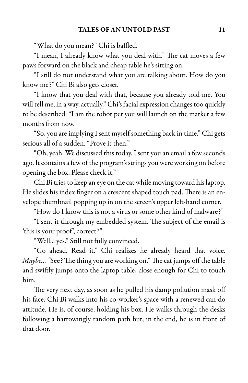"What do you mean?" Chi is baffled.

"I mean, I already know what you deal with." The cat moves a few paws forward on the black and cheap table he's sitting on.

"I still do not understand what you are talking about. How do you know me?" Chi Bi also gets closer.

"I know that you deal with that, because you already told me. You will tell me, in a way, actually." Chi's facial expression changes too quickly to be described. "I am the robot pet you will launch on the market a few months from now."

"So, you areimplying I sent myself something back in time." Chi gets serious all of a sudden. "Prove it then."

"Oh, yeah. We discussed this today. I sent you an email a few seconds ago. It contains a few of the program's strings you were working on before opening the box. Please check it."

Chi Bi tries to keep an eye on the cat while moving toward his laptop. He slides his index finger on a crescent shaped touch pad. There is an envelope thumbnail popping up in on the screen's upper left-hand corner.

"How do I know this is not a virus or some other kind of malware?"

"I sent it through my embedded system. The subject of the email is 'this is your proof', correct?"

"Well... yes." Still not fully convinced.

"Go ahead. Read it." Chi realizes he already heard that voice. *Maybe...* "See? The thing you are working on." The cat jumps off the table and swiftly jumps onto the laptop table, close enough for Chi to touch him.

The very next day, as soon as he pulled his damp pollution mask off his face, Chi Bi walks into his co-worker's space with a renewed can-do attitude. He is, of course, holding his box. He walks through the desks following a harrowingly random path but, in the end, he is in front of that door.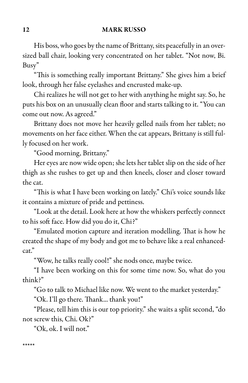His boss, who goes by the name of Brittany, sits peacefully in an oversized ball chair, looking very concentrated on her tablet. "Not now, Bi. Busy"

"This is something really important Brittany." She gives him a brief look, through her false eyelashes and encrusted make-up.

Chi realizes he will not get to her with anything he might say. So, he puts his box on an unusually clean floor and starts talking to it. "You can come out now. As agreed."

Brittany does not move her heavily gelled nails from her tablet; no movements on her face either. When the cat appears, Brittany is still fully focused on her work.

"Good morning, Brittany."

Her eyes are now wide open; she lets her tablet slip on the side of her thigh as she rushes to get up and then kneels, closer and closer toward the cat.

"This is what I have been working on lately." Chi's voice sounds like it contains a mixture of pride and pettiness.

"Look at the detail. Look here at how the whiskers perfectly connect to his soft face. How did you do it, Chi?"

"Emulated motion capture and iteration modelling. That is how he created the shape of my body and got me to behave like a real enhancedcat."

"Wow, he talks really cool!" she nods once, maybe twice.

"I have been working on this for some time now. So, what do you think?"

"Go to talk to Michael like now. We went to the market yesterday."

"Ok. I'll go there. Thank... thank you!"

"Please, tell him this is our top priority." she waits a split second, "do not screw this, Chi. Ok?"

"Ok, ok. I will not."

\*\*\*\*\*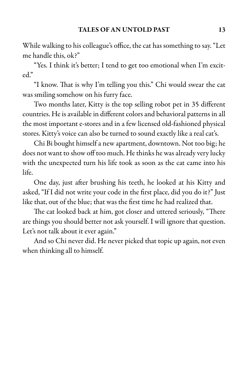While walking to hiscolleague's office, thecat has something to say. "Let me handle this, ok?"

"Yes. I think it's better; I tend to get too emotional when I'm excited."

"I know. That is why I'm telling you this." Chi would swear the cat was smiling somehow on his furry face.

Two months later, Kitty is the top selling robot pet in 35 different countries. He is available in different colors and behavioral patterns in all the most important e-stores and in a few licensed old-fashioned physical stores. Kitty's voice can also be turned to sound exactly like a real cat's.

Chi Bi bought himself a new apartment, downtown. Not too big; he does not want to show off too much. He thinks he was already very lucky with the unexpected turn his life took as soon as the cat came into his life.

One day, just after brushing his teeth, he looked at his Kitty and asked, "If I did not write your code in the first place, did you do it?" Just like that, out of the blue; that was the first time he had realized that.

The cat looked back at him, got closer and uttered seriously, "There are things you should better not ask yourself. I will ignore that question. Let's not talk about it ever again."

And so Chi never did. He never picked that topic up again, not even when thinking all to himself.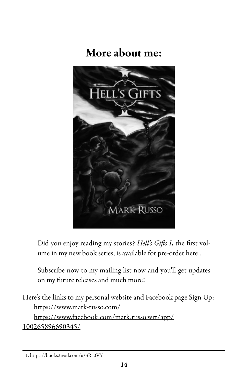### More about me:



Did you enjoy reading my stories? Hell's Gifts I, the first volume in my new book series, is available for pre-order here<sup>1</sup>.

Subscribe now to my mailing list now and you'll get updates on my future releases and much more!

Here's the links to my personal website and Facebook page Sign Up: https://www.mark-russo.com/ https://www.facebook.com/mark.russo.wrt/app/ 100265896690345/

<sup>1.</sup> https://books2read.com/u/3Ra0VY